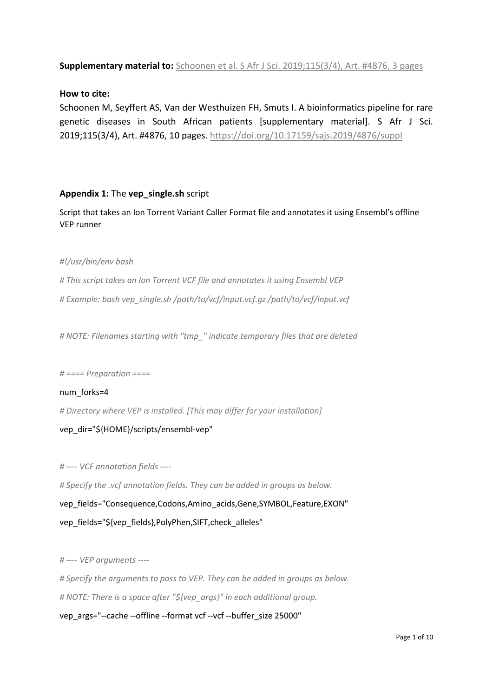### **Supplementary material to:** [Schoonen et al. S Afr J Sci. 2019;115\(3/4\), Art. #4876, 3](https://doi.org/10.17159/sajs.2019/4876) pages

#### **How to cite:**

Schoonen M, Seyffert AS, Van der Westhuizen FH, Smuts I. A bioinformatics pipeline for rare genetic diseases in South African patients [supplementary material]. S Afr J Sci. 2019;115(3/4), Art. #4876, 10 pages.<https://doi.org/10.17159/sajs.2019/4876/suppl>

#### **Appendix 1:** The **vep\_single.sh** script

Script that takes an Ion Torrent Variant Caller Format file and annotates it using Ensembl's offline VEP runner

#### *#!/usr/bin/env bash*

*# This script takes an Ion Torrent VCF file and annotates it using Ensembl VEP # Example: bash vep\_single.sh /path/to/vcf/input.vcf.gz /path/to/vcf/input.vcf*

*# NOTE: Filenames starting with "tmp\_" indicate temporary files that are deleted*

#### *# ==== Preparation ====*

#### num\_forks=4

*# Directory where VEP is installed. [This may differ for your installation]*

#### vep\_dir="\${HOME}/scripts/ensembl-vep"

*# ---- VCF annotation fields ----*

*# Specify the .vcf annotation fields. They can be added in groups as below.*

vep\_fields="Consequence,Codons,Amino\_acids,Gene,SYMBOL,Feature,EXON" vep\_fields="\${vep\_fields},PolyPhen,SIFT,check\_alleles"

*# ---- VEP arguments ----*

*# Specify the arguments to pass to VEP. They can be added in groups as below. # NOTE: There is a space after "\${vep\_args}" in each additional group.*

vep\_args="--cache --offline --format vcf --vcf --buffer\_size 25000"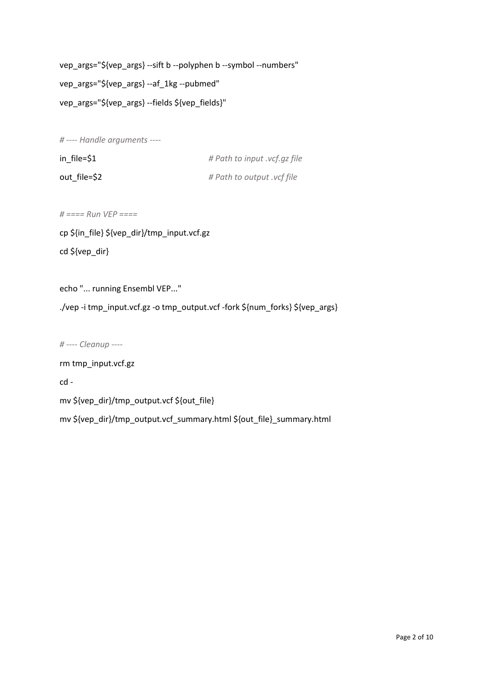vep\_args="\${vep\_args} --sift b --polyphen b --symbol --numbers" vep\_args="\${vep\_args} --af\_1kg --pubmed" vep\_args="\${vep\_args} --fields \${vep\_fields}"

*# ---- Handle arguments ----*

| $in$ $file = $1$ | # Path to input .vcf.gz file |
|------------------|------------------------------|
| out file=\$2     | # Path to output .vcf file   |

*# ==== Run VEP ====*

cp \${in\_file} \${vep\_dir}/tmp\_input.vcf.gz cd \${vep\_dir}

echo "... running Ensembl VEP..."

./vep -i tmp\_input.vcf.gz -o tmp\_output.vcf -fork \${num\_forks} \${vep\_args}

*# ---- Cleanup ----*

rm tmp\_input.vcf.gz

cd -

mv \${vep\_dir}/tmp\_output.vcf \${out\_file}

mv \${vep\_dir}/tmp\_output.vcf\_summary.html \${out\_file}\_summary.html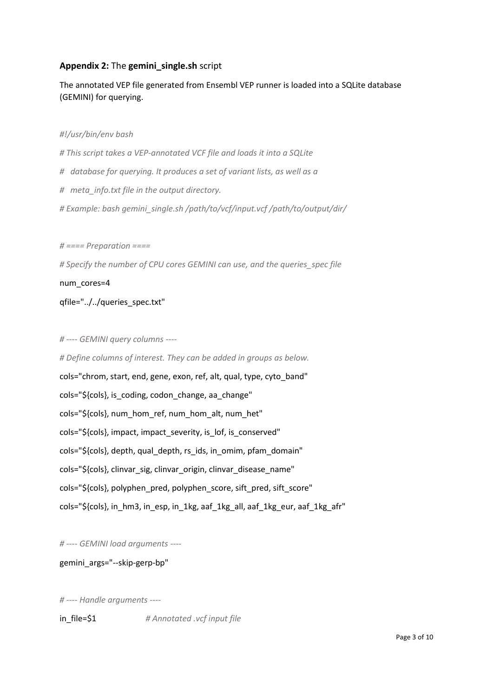## **Appendix 2:** The **gemini\_single.sh** script

The annotated VEP file generated from Ensembl VEP runner is loaded into a SQLite database (GEMINI) for querying.

#### *#!/usr/bin/env bash*

*# This script takes a VEP-annotated VCF file and loads it into a SQLite # database for querying. It produces a set of variant lists, as well as a # meta\_info.txt file in the output directory. # Example: bash gemini\_single.sh /path/to/vcf/input.vcf /path/to/output/dir/*

*# ==== Preparation ====*

*# Specify the number of CPU cores GEMINI can use, and the queries\_spec file*

num\_cores=4

qfile="../../queries\_spec.txt"

#### *# ---- GEMINI query columns ----*

*# Define columns of interest. They can be added in groups as below.* cols="chrom, start, end, gene, exon, ref, alt, qual, type, cyto\_band" cols="\${cols}, is\_coding, codon\_change, aa\_change" cols="\${cols}, num\_hom\_ref, num\_hom\_alt, num\_het" cols="\${cols}, impact, impact\_severity, is\_lof, is\_conserved" cols="\${cols}, depth, qual\_depth, rs\_ids, in\_omim, pfam\_domain" cols="\${cols}, clinvar\_sig, clinvar\_origin, clinvar\_disease\_name" cols="\${cols}, polyphen\_pred, polyphen\_score, sift\_pred, sift\_score" cols="\${cols}, in\_hm3, in\_esp, in\_1kg, aaf\_1kg\_all, aaf\_1kg\_eur, aaf\_1kg\_afr"

*# ---- GEMINI load arguments ----*

#### gemini\_args="--skip-gerp-bp"

*# ---- Handle arguments ----*

in\_file=\$1 *# Annotated .vcf input file*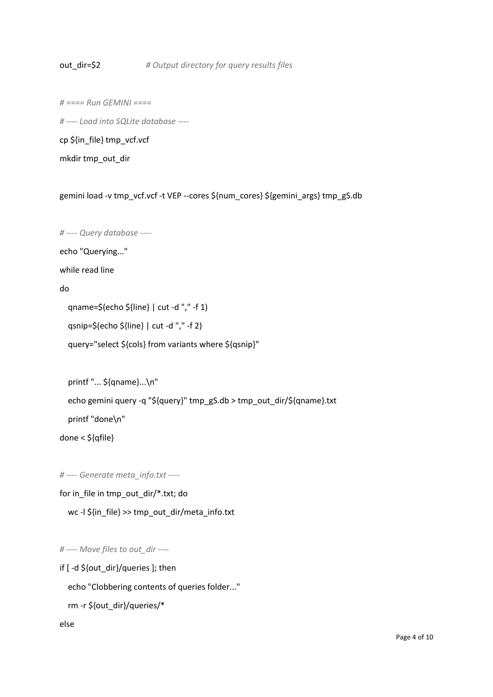#### out\_dir=\$2 *# Output directory for query results files*

*# ==== Run GEMINI ====*

*# ---- Load into SQLite database ----*

cp \${in\_file} tmp\_vcf.vcf

mkdir tmp\_out\_dir

gemini load -v tmp\_vcf.vcf -t VEP --cores \${num\_cores} \${gemini\_args} tmp\_gS.db

*# ---- Query database ----*

echo "Querying..."

while read line

do

qname=\$(echo \${line} | cut -d "," -f 1)

qsnip=\$(echo \${line} | cut -d "," -f 2)

query="select \${cols} from variants where \${qsnip}"

```
 printf "... ${qname}...\n"
```
echo gemini query -q "\${query}" tmp\_gS.db > tmp\_out\_dir/\${qname}.txt

printf "done\n"

done < \${qfile}

*# ---- Generate meta\_info.txt ----*

for in\_file in tmp\_out\_dir/\*.txt; do

wc -l \${in\_file} >> tmp\_out\_dir/meta\_info.txt

*# ---- Move files to out\_dir ----*

if [ -d \${out\_dir}/queries ]; then

echo "Clobbering contents of queries folder..."

```
 rm -r ${out_dir}/queries/*
```
else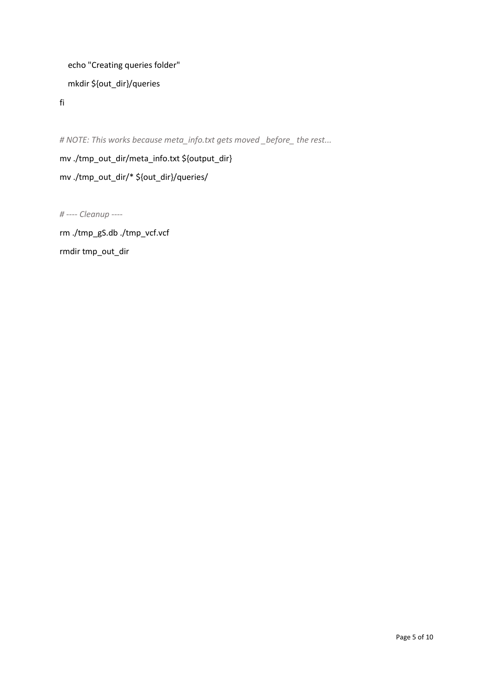```
 echo "Creating queries folder"
   mkdir ${out_dir}/queries
fi
```
*# NOTE: This works because meta\_info.txt gets moved \_before\_ the rest...*

mv ./tmp\_out\_dir/meta\_info.txt \${output\_dir} mv ./tmp\_out\_dir/\* \${out\_dir}/queries/

*# ---- Cleanup ----*

rm ./tmp\_gS.db ./tmp\_vcf.vcf rmdir tmp\_out\_dir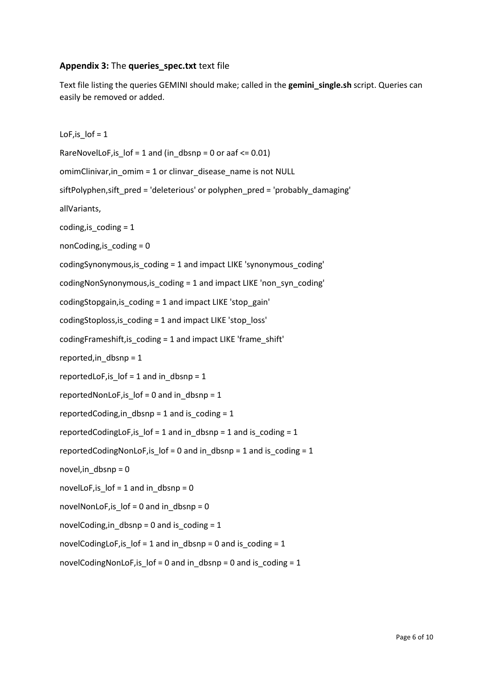#### **Appendix 3:** The **queries\_spec.txt** text file

Text file listing the queries GEMINI should make; called in the **gemini\_single.sh** script. Queries can easily be removed or added.

LoF, is  $\text{lof} = 1$ RareNovelLoF, is  $\text{Iof} = 1$  and (in dbsnp = 0 or aaf <= 0.01) omimClinivar, in omim = 1 or clinvar disease name is not NULL siftPolyphen,sift\_pred = 'deleterious' or polyphen\_pred = 'probably\_damaging' allVariants, coding, is  $coding = 1$ nonCoding, is  $coding = 0$ codingSynonymous,is\_coding = 1 and impact LIKE 'synonymous\_coding' codingNonSynonymous,is\_coding = 1 and impact LIKE 'non\_syn\_coding' codingStopgain,is\_coding = 1 and impact LIKE 'stop\_gain' codingStoploss,is\_coding = 1 and impact LIKE 'stop\_loss' codingFrameshift,is\_coding = 1 and impact LIKE 'frame\_shift' reported, in dbsnp =  $1$ reportedLoF, is  $\text{lof} = 1$  and in dbsnp = 1 reportedNonLoF,is\_lof = 0 and in\_dbsnp = 1 reportedCoding, in dbsnp = 1 and is coding = 1 reportedCodingLoF, is  $\text{lof} = 1$  and in dbsnp = 1 and is coding = 1 reportedCodingNonLoF, is  $\text{lof} = 0$  and in dbsnp = 1 and is coding = 1 novel,in\_dbsnp = 0 novelLoF, is  $\ln 1$  and in dbsnp = 0 novelNonLoF, is  $\ln 10 = 0$  and in dbsnp = 0 novelCoding, in dbsnp = 0 and is coding = 1 novelCodingLoF,is\_lof = 1 and in\_dbsnp = 0 and is\_coding = 1 novelCodingNonLoF,is\_lof = 0 and in\_dbsnp = 0 and is\_coding = 1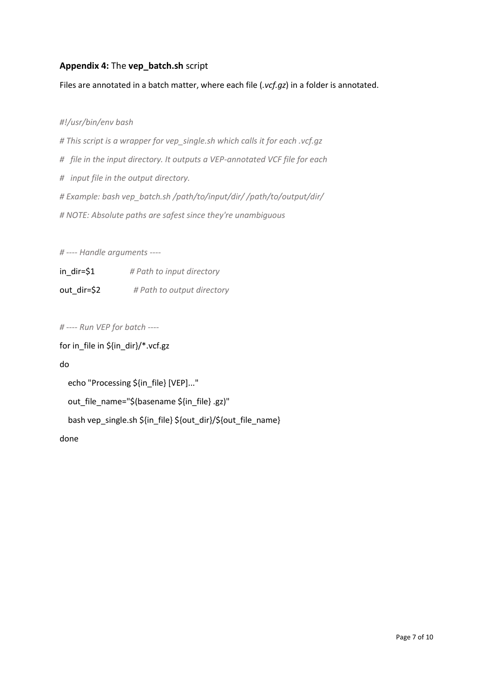## **Appendix 4:** The **vep\_batch.sh** script

Files are annotated in a batch matter, where each file (*.vcf.gz*) in a folder is annotated.

*#!/usr/bin/env bash*

*# This script is a wrapper for vep\_single.sh which calls it for each .vcf.gz # file in the input directory. It outputs a VEP-annotated VCF file for each # input file in the output directory. # Example: bash vep\_batch.sh /path/to/input/dir/ /path/to/output/dir/ # NOTE: Absolute paths are safest since they're unambiguous*

*# ---- Handle arguments ----*

in\_dir=\$1 *# Path to input directory* out\_dir=\$2 *# Path to output directory*

*# ---- Run VEP for batch ----*

for in\_file in \${in\_dir}/\*.vcf.gz

do

echo "Processing \${in\_file} [VEP]..."

out\_file\_name="\$(basename \${in\_file} .gz)"

bash vep\_single.sh \${in\_file} \${out\_dir}/\${out\_file\_name}

done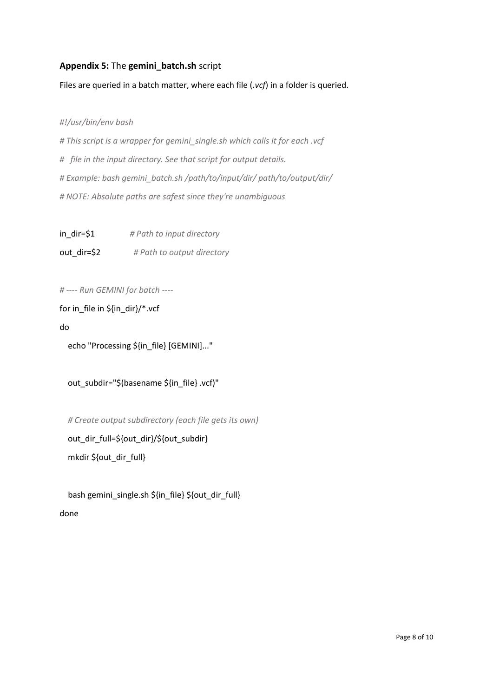## **Appendix 5:** The **gemini\_batch.sh** script

Files are queried in a batch matter, where each file (*.vcf*) in a folder is queried.

*#!/usr/bin/env bash*

*# This script is a wrapper for gemini\_single.sh which calls it for each .vcf # file in the input directory. See that script for output details. # Example: bash gemini\_batch.sh /path/to/input/dir/ path/to/output/dir/ # NOTE: Absolute paths are safest since they're unambiguous*

in\_dir=\$1 *# Path to input directory* out\_dir=\$2 *# Path to output directory*

*# ---- Run GEMINI for batch ----*

for in\_file in \${in\_dir}/\*.vcf

do

echo "Processing \${in\_file} [GEMINI]..."

out\_subdir="\$(basename \${in\_file} .vcf)"

 *# Create output subdirectory (each file gets its own)*

 out\_dir\_full=\${out\_dir}/\${out\_subdir} mkdir \${out\_dir\_full}

 bash gemini\_single.sh \${in\_file} \${out\_dir\_full} done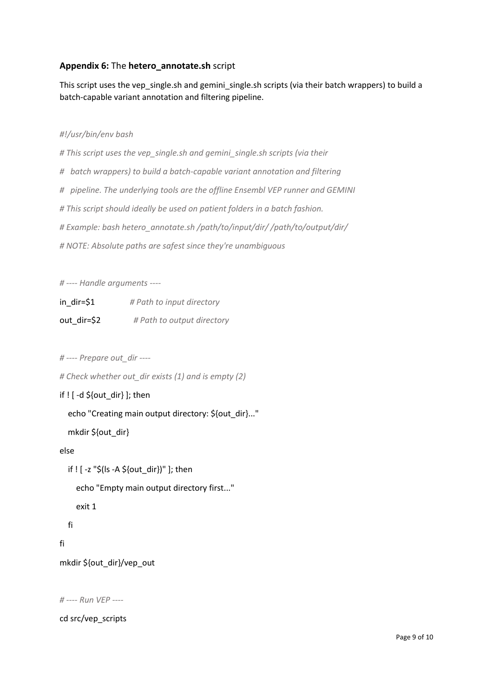## **Appendix 6:** The **hetero\_annotate.sh** script

This script uses the vep\_single.sh and gemini\_single.sh scripts (via their batch wrappers) to build a batch-capable variant annotation and filtering pipeline.

#### *#!/usr/bin/env bash*

*# This script uses the vep\_single.sh and gemini\_single.sh scripts (via their*

- *# batch wrappers) to build a batch-capable variant annotation and filtering*
- *# pipeline. The underlying tools are the offline Ensembl VEP runner and GEMINI*
- *# This script should ideally be used on patient folders in a batch fashion.*
- *# Example: bash hetero\_annotate.sh /path/to/input/dir/ /path/to/output/dir/*

*# NOTE: Absolute paths are safest since they're unambiguous*

*# ---- Handle arguments ----*

| $in\_dir=$ \$1 | # Path to input directory  |
|----------------|----------------------------|
| out dir=\$2    | # Path to output directory |

```
# ---- Prepare out_dir ----
```
*# Check whether out\_dir exists (1) and is empty (2)*

```
if ! [ -d ${out_dir} ]; then
```
echo "Creating main output directory: \${out\_dir}..."

mkdir \${out\_dir}

#### else

```
 if ! [ -z "$(ls -A ${out_dir})" ]; then
   echo "Empty main output directory first..."
   exit 1
 fi
```
## fi

mkdir \${out\_dir}/vep\_out

*# ---- Run VEP ----*

cd src/vep\_scripts